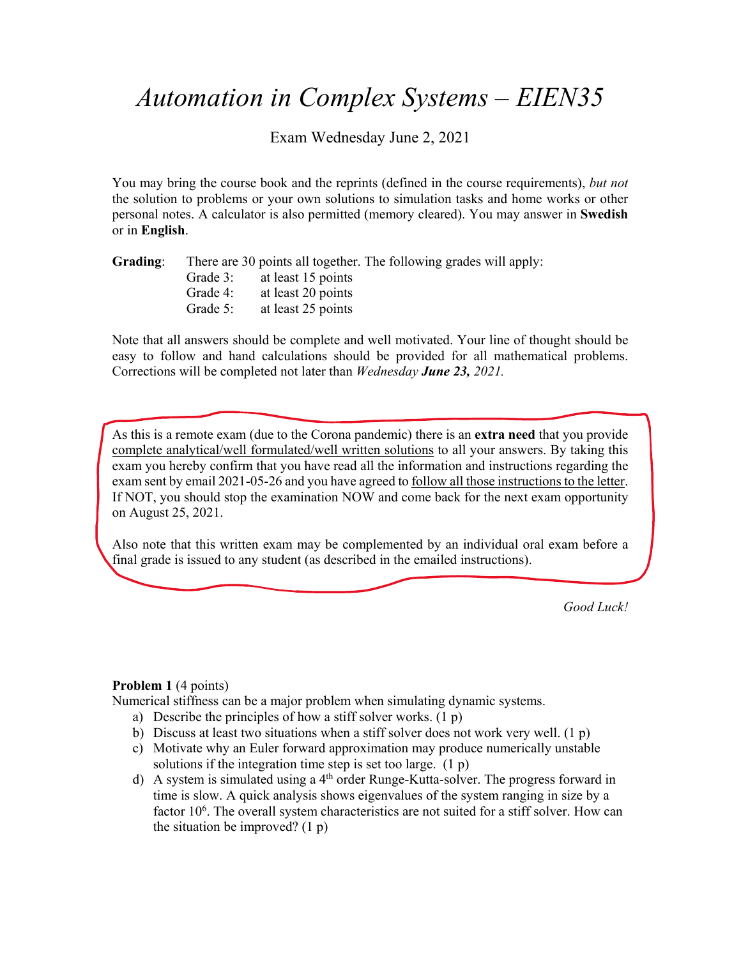# *Automation in Complex Systems – EIEN35*

Exam Wednesday June 2, 2021

You may bring the course book and the reprints (defined in the course requirements), *but not*  the solution to problems or your own solutions to simulation tasks and home works or other personal notes. A calculator is also permitted (memory cleared). You may answer in **Swedish** or in **English**.

| Grading: | There are 30 points all together. The following grades will apply: |                    |  |  |
|----------|--------------------------------------------------------------------|--------------------|--|--|
|          | Grade 3:                                                           | at least 15 points |  |  |
|          | Grade 4:                                                           | at least 20 points |  |  |
|          | Grade 5:                                                           | at least 25 points |  |  |

Note that all answers should be complete and well motivated. Your line of thought should be easy to follow and hand calculations should be provided for all mathematical problems. Corrections will be completed not later than *Wednesday June 23, 2021.* 

As this is a remote exam (due to the Corona pandemic) there is an **extra need** that you provide complete analytical/well formulated/well written solutions to all your answers. By taking this exam you hereby confirm that you have read all the information and instructions regarding the exam sent by email 2021-05-26 and you have agreed to follow all those instructions to the letter. If NOT, you should stop the examination NOW and come back for the next exam opportunity on August 25, 2021.

Also note that this written exam may be complemented by an individual oral exam before a final grade is issued to any student (as described in the emailed instructions).

*Good Luck!* 

#### **Problem 1** (4 points)

Numerical stiffness can be a major problem when simulating dynamic systems.

- a) Describe the principles of how a stiff solver works. (1 p)
- b) Discuss at least two situations when a stiff solver does not work very well.  $(1 p)$
- c) Motivate why an Euler forward approximation may produce numerically unstable solutions if the integration time step is set too large. (1 p)
- d) A system is simulated using a 4th order Runge-Kutta-solver. The progress forward in time is slow. A quick analysis shows eigenvalues of the system ranging in size by a factor 10<sup>6</sup>. The overall system characteristics are not suited for a stiff solver. How can the situation be improved? (1 p)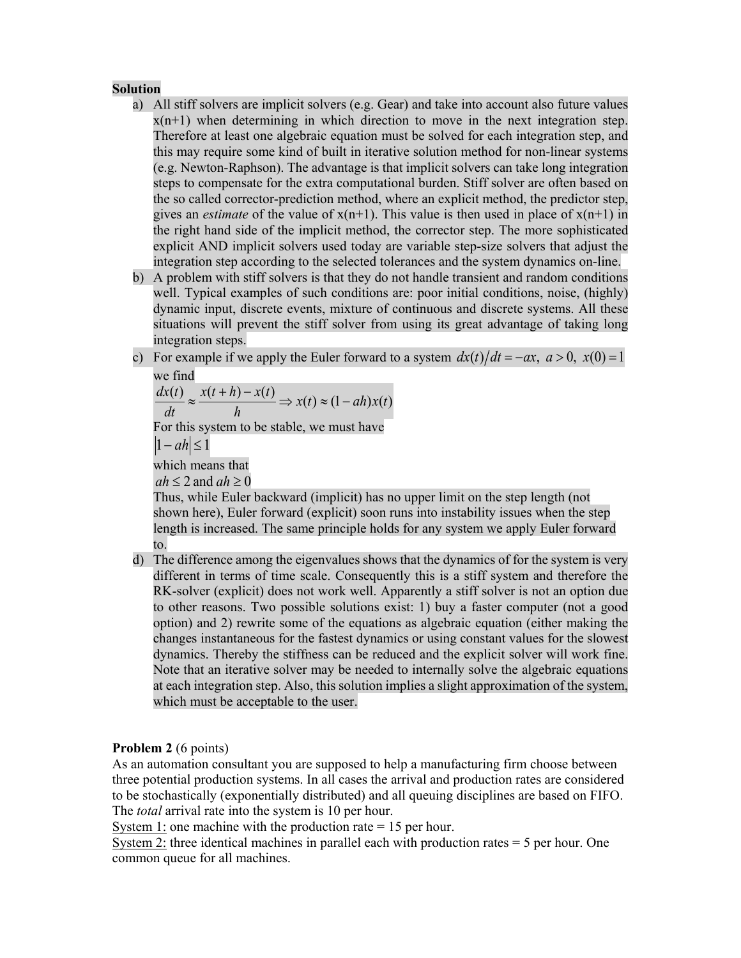#### **Solution**

- a) All stiff solvers are implicit solvers (e.g. Gear) and take into account also future values  $x(n+1)$  when determining in which direction to move in the next integration step. Therefore at least one algebraic equation must be solved for each integration step, and this may require some kind of built in iterative solution method for non-linear systems (e.g. Newton-Raphson). The advantage is that implicit solvers can take long integration steps to compensate for the extra computational burden. Stiff solver are often based on the so called corrector-prediction method, where an explicit method, the predictor step, gives an *estimate* of the value of  $x(n+1)$ . This value is then used in place of  $x(n+1)$  in the right hand side of the implicit method, the corrector step. The more sophisticated explicit AND implicit solvers used today are variable step-size solvers that adjust the integration step according to the selected tolerances and the system dynamics on-line.
- b) A problem with stiff solvers is that they do not handle transient and random conditions well. Typical examples of such conditions are: poor initial conditions, noise, (highly) dynamic input, discrete events, mixture of continuous and discrete systems. All these situations will prevent the stiff solver from using its great advantage of taking long integration steps.
- c) For example if we apply the Euler forward to a system  $dx(t)/dt = -ax$ ,  $a > 0$ ,  $x(0) = 1$ we find

For this system to be stable, we must have which means that  $\frac{f(t)}{t} \approx \frac{x(t+h) - x(t)}{t} \Rightarrow x(t) \approx (1 - ah)x(t)$ *h*  $x(t+h) - x(t)$ *dt*  $\frac{dx(t)}{dt} \approx \frac{x(t+h) - x(t)}{dt} \Rightarrow x(t) \approx (1 |1 - ah| \leq 1$  $ah \leq 2$  and  $ah \geq 0$ 

Thus, while Euler backward (implicit) has no upper limit on the step length (not shown here), Euler forward (explicit) soon runs into instability issues when the step length is increased. The same principle holds for any system we apply Euler forward to.

d) The difference among the eigenvalues shows that the dynamics of for the system is very different in terms of time scale. Consequently this is a stiff system and therefore the RK-solver (explicit) does not work well. Apparently a stiff solver is not an option due to other reasons. Two possible solutions exist: 1) buy a faster computer (not a good option) and 2) rewrite some of the equations as algebraic equation (either making the changes instantaneous for the fastest dynamics or using constant values for the slowest dynamics. Thereby the stiffness can be reduced and the explicit solver will work fine. Note that an iterative solver may be needed to internally solve the algebraic equations at each integration step. Also, this solution implies a slight approximation of the system, which must be acceptable to the user.

# **Problem 2** (6 points)

As an automation consultant you are supposed to help a manufacturing firm choose between three potential production systems. In all cases the arrival and production rates are considered to be stochastically (exponentially distributed) and all queuing disciplines are based on FIFO. The *total* arrival rate into the system is 10 per hour.

System 1: one machine with the production rate  $= 15$  per hour.

System 2: three identical machines in parallel each with production rates = 5 per hour. One common queue for all machines.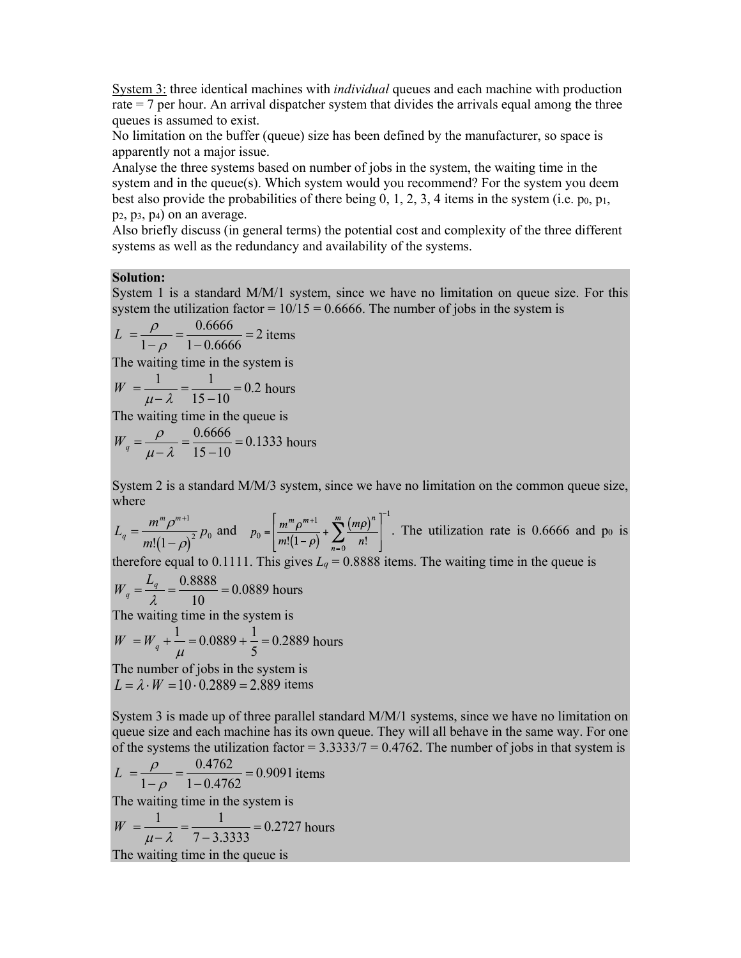System 3: three identical machines with *individual* queues and each machine with production rate = 7 per hour. An arrival dispatcher system that divides the arrivals equal among the three queues is assumed to exist.

No limitation on the buffer (queue) size has been defined by the manufacturer, so space is apparently not a major issue.

Analyse the three systems based on number of jobs in the system, the waiting time in the system and in the queue(s). Which system would you recommend? For the system you deem best also provide the probabilities of there being  $0, 1, 2, 3, 4$  items in the system (i.e. p<sub>0</sub>, p<sub>1</sub>, p2, p3, p4) on an average.

Also briefly discuss (in general terms) the potential cost and complexity of the three different systems as well as the redundancy and availability of the systems.

#### **Solution:**

System 1 is a standard M/M/1 system, since we have no limitation on queue size. For this system the utilization factor =  $10/15 = 0.6666$ . The number of jobs in the system is

$$
L = \frac{\rho}{1 - \rho} = \frac{0.6666}{1 - 0.6666} = 2 \text{ items}
$$

The waiting time in the system is

$$
W = \frac{1}{\mu - \lambda} = \frac{1}{15 - 10} = 0.2 \text{ hours}
$$

The waiting time in the queue is

$$
W_q = \frac{\rho}{\mu - \lambda} = \frac{0.6666}{15 - 10} = 0.1333
$$
 hours

System 2 is a standard M/M/3 system, since we have no limitation on the common queue size, where

 $L_q = \frac{m^m \rho^{m+1}}{(1 - \rho)^2} p_0$  and  $p_0 = \frac{m^m \rho^{m+1}}{m!} + \sum_{n=1}^{\infty} \frac{(m \rho)^n}{n!}$ . The utilization rate is 0.6666 and po is  $m!(1-\rho)$  $\frac{1}{2} p_0$ 

therefore equal to 0.1111. This gives  $L_q = 0.8888$  items. The waiting time in the queue is

 $W_q = \frac{L_q}{\lambda} = \frac{0.8888}{10} = 0.0889$  hours The waiting time in the system is

 $W = W_q + \frac{1}{r^2} = 0.0889 + \frac{1}{5} = 0.2889$  hours  $= 0.0889 + \frac{1}{5} = 0.2889$ 

The number of jobs in the system is  $L = \lambda \cdot W = 10 \cdot 0.2889 = 2.889$  items  $\mu$ 

System 3 is made up of three parallel standard M/M/1 systems, since we have no limitation on queue size and each machine has its own queue. They will all behave in the same way. For one of the systems the utilization factor  $= 3.333377 = 0.4762$ . The number of jobs in that system is

$$
L = \frac{\rho}{1-\rho} = \frac{0.4762}{1-0.4762} = 0.9091
$$
 items  
The waiting time in the system is  

$$
W = \frac{1}{\mu - \lambda} = \frac{1}{7-3.3333} = 0.2727
$$
 hours  
The waiting time in the queue is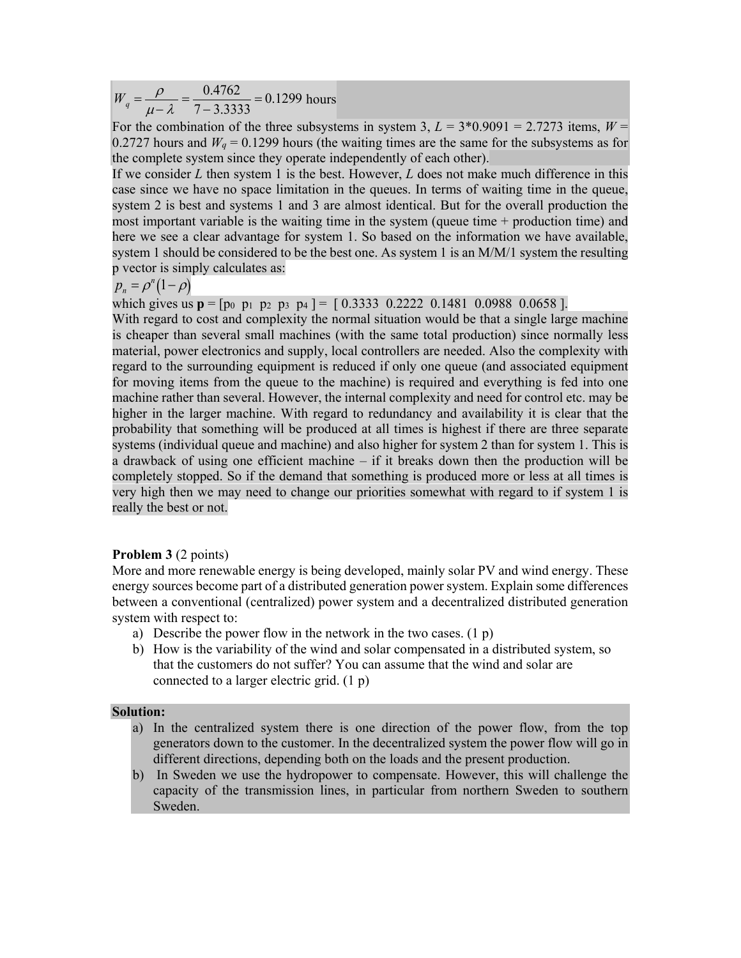$W_q = \frac{\rho}{\mu - \lambda} = \frac{0.4762}{7 - 3.3333} = 0.1299$  hours

For the combination of the three subsystems in system 3,  $L = 3*0.9091 = 2.7273$  items,  $W =$ 0.2727 hours and  $W_q = 0.1299$  hours (the waiting times are the same for the subsystems as for the complete system since they operate independently of each other).

If we consider *L* then system 1 is the best. However, *L* does not make much difference in this case since we have no space limitation in the queues. In terms of waiting time in the queue, system 2 is best and systems 1 and 3 are almost identical. But for the overall production the most important variable is the waiting time in the system (queue time + production time) and here we see a clear advantage for system 1. So based on the information we have available, system 1 should be considered to be the best one. As system 1 is an  $M/M/1$  system the resulting p vector is simply calculates as:

 $p_n = \rho^n(1-\rho)$ 

which gives us  $p = [p_0 \ p_1 \ p_2 \ p_3 \ p_4] = [0.3333 \ 0.2222 \ 0.1481 \ 0.0988 \ 0.0658]$ .

With regard to cost and complexity the normal situation would be that a single large machine is cheaper than several small machines (with the same total production) since normally less material, power electronics and supply, local controllers are needed. Also the complexity with regard to the surrounding equipment is reduced if only one queue (and associated equipment for moving items from the queue to the machine) is required and everything is fed into one machine rather than several. However, the internal complexity and need for control etc. may be higher in the larger machine. With regard to redundancy and availability it is clear that the probability that something will be produced at all times is highest if there are three separate systems (individual queue and machine) and also higher for system 2 than for system 1. This is a drawback of using one efficient machine – if it breaks down then the production will be completely stopped. So if the demand that something is produced more or less at all times is very high then we may need to change our priorities somewhat with regard to if system 1 is really the best or not.

#### **Problem 3** (2 points)

More and more renewable energy is being developed, mainly solar PV and wind energy. These energy sources become part of a distributed generation power system. Explain some differences between a conventional (centralized) power system and a decentralized distributed generation system with respect to:

- a) Describe the power flow in the network in the two cases.  $(1 p)$
- b) How is the variability of the wind and solar compensated in a distributed system, so that the customers do not suffer? You can assume that the wind and solar are connected to a larger electric grid. (1 p)

#### **Solution:**

- a) In the centralized system there is one direction of the power flow, from the top generators down to the customer. In the decentralized system the power flow will go in different directions, depending both on the loads and the present production.
- b) In Sweden we use the hydropower to compensate. However, this will challenge the capacity of the transmission lines, in particular from northern Sweden to southern Sweden.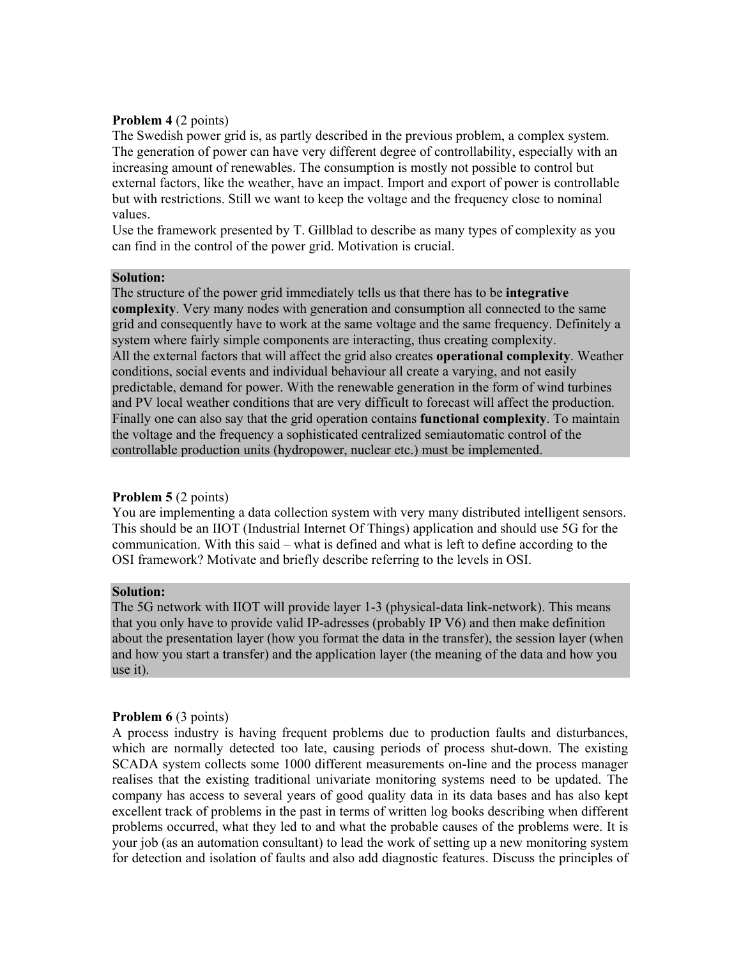#### **Problem 4** (2 points)

The Swedish power grid is, as partly described in the previous problem, a complex system. The generation of power can have very different degree of controllability, especially with an increasing amount of renewables. The consumption is mostly not possible to control but external factors, like the weather, have an impact. Import and export of power is controllable but with restrictions. Still we want to keep the voltage and the frequency close to nominal values.

Use the framework presented by T. Gillblad to describe as many types of complexity as you can find in the control of the power grid. Motivation is crucial.

#### **Solution:**

The structure of the power grid immediately tells us that there has to be **integrative complexity**. Very many nodes with generation and consumption all connected to the same grid and consequently have to work at the same voltage and the same frequency. Definitely a system where fairly simple components are interacting, thus creating complexity. All the external factors that will affect the grid also creates **operational complexity**. Weather conditions, social events and individual behaviour all create a varying, and not easily predictable, demand for power. With the renewable generation in the form of wind turbines and PV local weather conditions that are very difficult to forecast will affect the production. Finally one can also say that the grid operation contains **functional complexity**. To maintain the voltage and the frequency a sophisticated centralized semiautomatic control of the controllable production units (hydropower, nuclear etc.) must be implemented.

# **Problem 5** (2 points)

You are implementing a data collection system with very many distributed intelligent sensors. This should be an IIOT (Industrial Internet Of Things) application and should use 5G for the communication. With this said – what is defined and what is left to define according to the OSI framework? Motivate and briefly describe referring to the levels in OSI.

#### **Solution:**

The 5G network with IIOT will provide layer 1-3 (physical-data link-network). This means that you only have to provide valid IP-adresses (probably IP V6) and then make definition about the presentation layer (how you format the data in the transfer), the session layer (when and how you start a transfer) and the application layer (the meaning of the data and how you use it).

# **Problem 6 (3 points)**

A process industry is having frequent problems due to production faults and disturbances, which are normally detected too late, causing periods of process shut-down. The existing SCADA system collects some 1000 different measurements on-line and the process manager realises that the existing traditional univariate monitoring systems need to be updated. The company has access to several years of good quality data in its data bases and has also kept excellent track of problems in the past in terms of written log books describing when different problems occurred, what they led to and what the probable causes of the problems were. It is your job (as an automation consultant) to lead the work of setting up a new monitoring system for detection and isolation of faults and also add diagnostic features. Discuss the principles of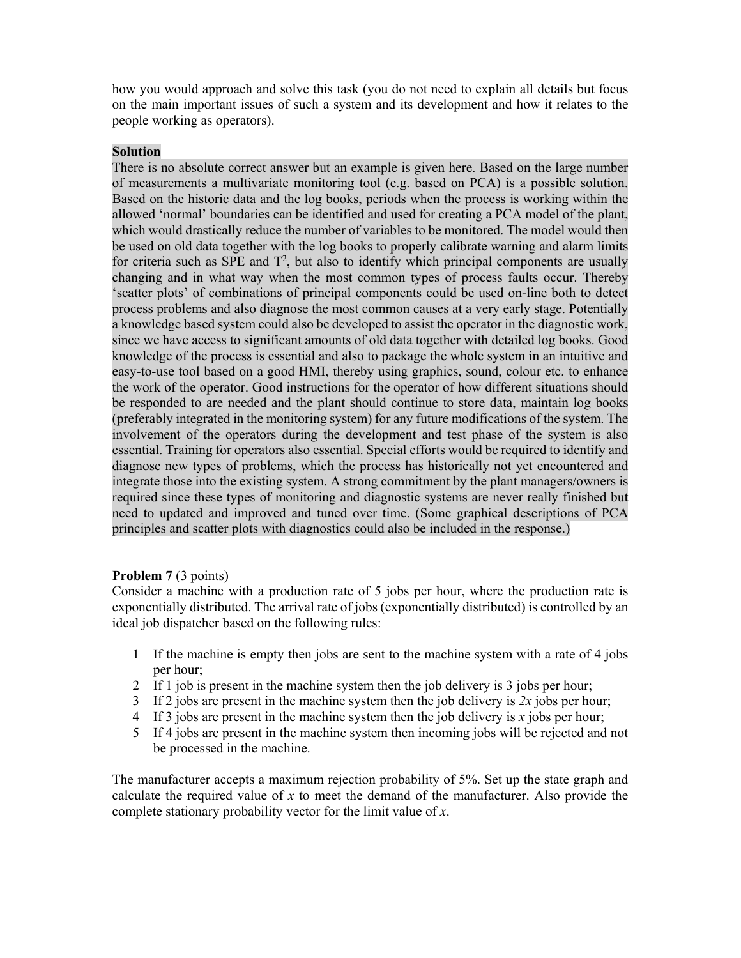how you would approach and solve this task (you do not need to explain all details but focus on the main important issues of such a system and its development and how it relates to the people working as operators).

# **Solution**

There is no absolute correct answer but an example is given here. Based on the large number of measurements a multivariate monitoring tool (e.g. based on PCA) is a possible solution. Based on the historic data and the log books, periods when the process is working within the allowed 'normal' boundaries can be identified and used for creating a PCA model of the plant, which would drastically reduce the number of variables to be monitored. The model would then be used on old data together with the log books to properly calibrate warning and alarm limits for criteria such as SPE and  $T^2$ , but also to identify which principal components are usually changing and in what way when the most common types of process faults occur. Thereby 'scatter plots' of combinations of principal components could be used on-line both to detect process problems and also diagnose the most common causes at a very early stage. Potentially a knowledge based system could also be developed to assist the operator in the diagnostic work, since we have access to significant amounts of old data together with detailed log books. Good knowledge of the process is essential and also to package the whole system in an intuitive and easy-to-use tool based on a good HMI, thereby using graphics, sound, colour etc. to enhance the work of the operator. Good instructions for the operator of how different situations should be responded to are needed and the plant should continue to store data, maintain log books (preferably integrated in the monitoring system) for any future modifications of the system. The involvement of the operators during the development and test phase of the system is also essential. Training for operators also essential. Special efforts would be required to identify and diagnose new types of problems, which the process has historically not yet encountered and integrate those into the existing system. A strong commitment by the plant managers/owners is required since these types of monitoring and diagnostic systems are never really finished but need to updated and improved and tuned over time. (Some graphical descriptions of PCA principles and scatter plots with diagnostics could also be included in the response.)

# **Problem 7** (3 points)

Consider a machine with a production rate of 5 jobs per hour, where the production rate is exponentially distributed. The arrival rate of jobs (exponentially distributed) is controlled by an ideal job dispatcher based on the following rules:

- 1 If the machine is empty then jobs are sent to the machine system with a rate of 4 jobs per hour;
- 2 If 1 job is present in the machine system then the job delivery is 3 jobs per hour;
- 3 If 2 jobs are present in the machine system then the job delivery is *2x* jobs per hour;
- 4 If 3 jobs are present in the machine system then the job delivery is *x* jobs per hour;
- 5 If 4 jobs are present in the machine system then incoming jobs will be rejected and not be processed in the machine.

The manufacturer accepts a maximum rejection probability of 5%. Set up the state graph and calculate the required value of *x* to meet the demand of the manufacturer. Also provide the complete stationary probability vector for the limit value of *x*.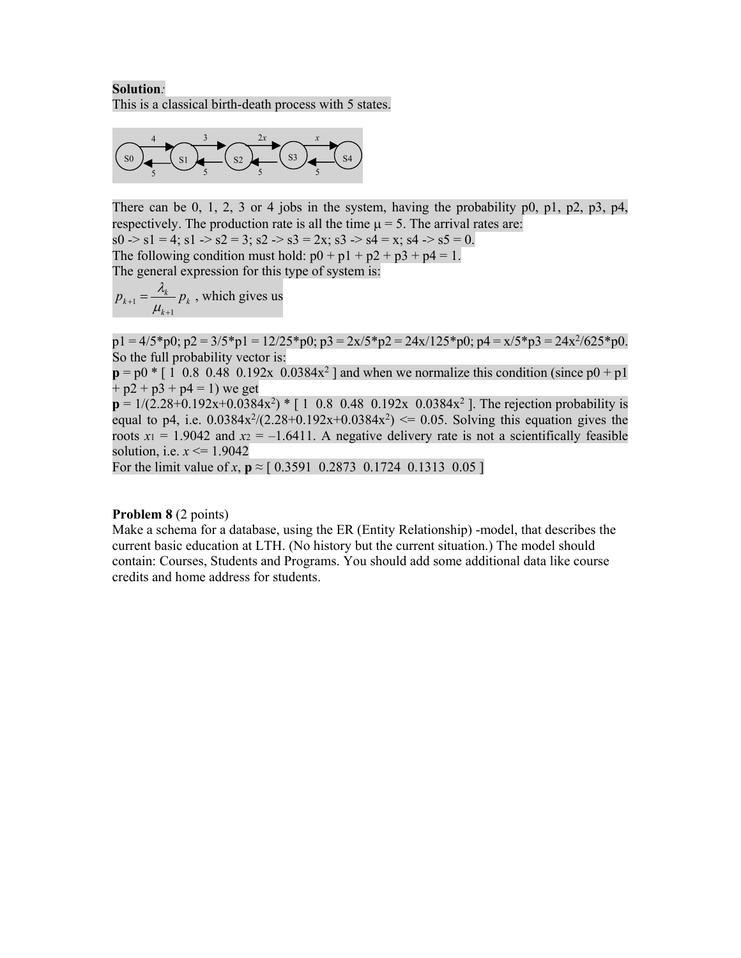# **Solution***:*  This is a classical birth-death process with 5 states.



There can be 0, 1, 2, 3 or 4 jobs in the system, having the probability  $p_0$ ,  $p_1$ ,  $p_2$ ,  $p_3$ ,  $p_4$ , respectively. The production rate is all the time  $\mu = 5$ . The arrival rates are:  $s0 \rightarrow s1 = 4$ ;  $s1 \rightarrow s2 = 3$ ;  $s2 \rightarrow s3 = 2x$ ;  $s3 \rightarrow s4 = x$ ;  $s4 \rightarrow s5 = 0$ . The following condition must hold:  $p0 + p1 + p2 + p3 + p4 = 1$ . The general expression for this type of system is:

$$
p_{k+1} = \frac{\lambda_k}{\mu_{k+1}} p_k
$$
, which gives us

 $p1 = 4/5*p0; p2 = 3/5*p1 = 12/25*p0; p3 = 2x/5*p2 = 24x/125*p0; p4 = x/5*p3 = 24x<sup>2</sup>/625*p0.$ So the full probability vector is:

 $p = p0 \cdot [ 1 \ 0.8 \ 0.48 \ 0.192x \ 0.0384x^2 ]$  and when we normalize this condition (since  $p0 + p1$ )  $+$  p2 + p3 + p4 = 1) we get

 $p = 1/(2.28+0.192x+0.0384x^2)$  \* [ 1 0.8 0.48 0.192x 0.0384x<sup>2</sup> ]. The rejection probability is equal to p4, i.e.  $0.0384x^2/(2.28+0.192x+0.0384x^2) \le 0.05$ . Solving this equation gives the roots  $x_1 = 1.9042$  and  $x_2 = -1.6411$ . A negative delivery rate is not a scientifically feasible solution, i.e. *x* <= 1.9042

For the limit value of *x*,  $p \approx [0.3591 \ 0.2873 \ 0.1724 \ 0.1313 \ 0.05]$ 

# **Problem 8** (2 points)

Make a schema for a database, using the ER (Entity Relationship) -model, that describes the current basic education at LTH. (No history but the current situation.) The model should contain: Courses, Students and Programs. You should add some additional data like course credits and home address for students.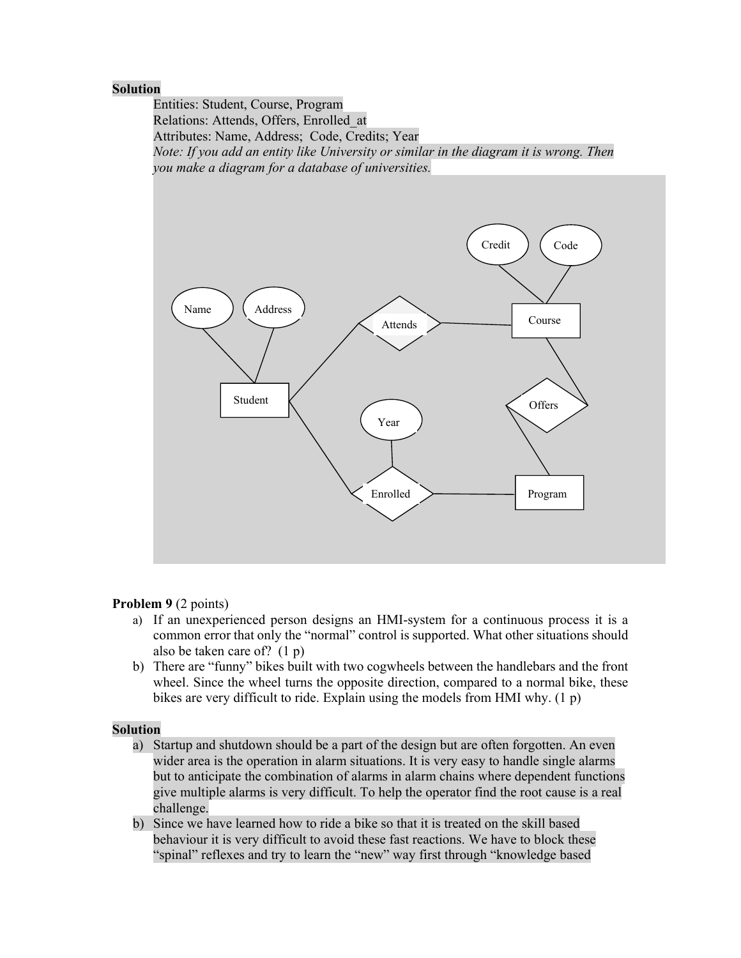#### **Solution**

Entities: Student, Course, Program Relations: Attends, Offers, Enrolled\_at Attributes: Name, Address; Code, Credits; Year *Note: If you add an entity like University or similar in the diagram it is wrong. Then you make a diagram for a database of universities.* 



# **Problem 9** (2 points)

- a) If an unexperienced person designs an HMI-system for a continuous process it is a common error that only the "normal" control is supported. What other situations should also be taken care of? (1 p)
- b) There are "funny" bikes built with two cogwheels between the handlebars and the front wheel. Since the wheel turns the opposite direction, compared to a normal bike, these bikes are very difficult to ride. Explain using the models from HMI why. (1 p)

# **Solution**

- a) Startup and shutdown should be a part of the design but are often forgotten. An even wider area is the operation in alarm situations. It is very easy to handle single alarms but to anticipate the combination of alarms in alarm chains where dependent functions give multiple alarms is very difficult. To help the operator find the root cause is a real challenge.
- b) Since we have learned how to ride a bike so that it is treated on the skill based behaviour it is very difficult to avoid these fast reactions. We have to block these "spinal" reflexes and try to learn the "new" way first through "knowledge based